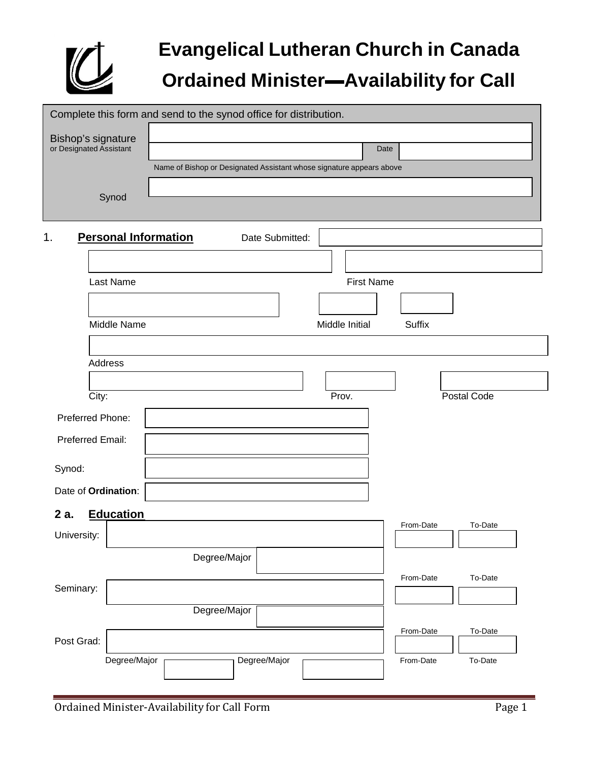

# **Evangelical Lutheran Church in Canada Ordained Minister▬Availability for Call**

| Complete this form and send to the synod office for distribution. |                                                                      |                   |           |             |  |
|-------------------------------------------------------------------|----------------------------------------------------------------------|-------------------|-----------|-------------|--|
| Bishop's signature<br>or Designated Assistant                     | Name of Bishop or Designated Assistant whose signature appears above | Date              |           |             |  |
| Synod                                                             |                                                                      |                   |           |             |  |
| 1.<br><b>Personal Information</b>                                 | Date Submitted:                                                      |                   |           |             |  |
| Last Name                                                         |                                                                      | <b>First Name</b> |           |             |  |
| Middle Name                                                       |                                                                      | Middle Initial    | Suffix    |             |  |
| Address                                                           |                                                                      |                   |           |             |  |
| City:                                                             |                                                                      | Prov.             |           | Postal Code |  |
| Preferred Phone:                                                  |                                                                      |                   |           |             |  |
| Preferred Email:                                                  |                                                                      |                   |           |             |  |
| Synod:                                                            |                                                                      |                   |           |             |  |
| Date of Ordination:                                               |                                                                      |                   |           |             |  |
| <b>Education</b><br>2 a.<br>University:                           |                                                                      |                   | From-Date | To-Date     |  |
|                                                                   | Degree/Major                                                         |                   |           | To-Date     |  |
| Seminary:                                                         | Degree/Major                                                         |                   | From-Date |             |  |
| Post Grad:                                                        |                                                                      |                   | From-Date | To-Date     |  |
| Degree/Major                                                      | Degree/Major                                                         |                   | From-Date | To-Date     |  |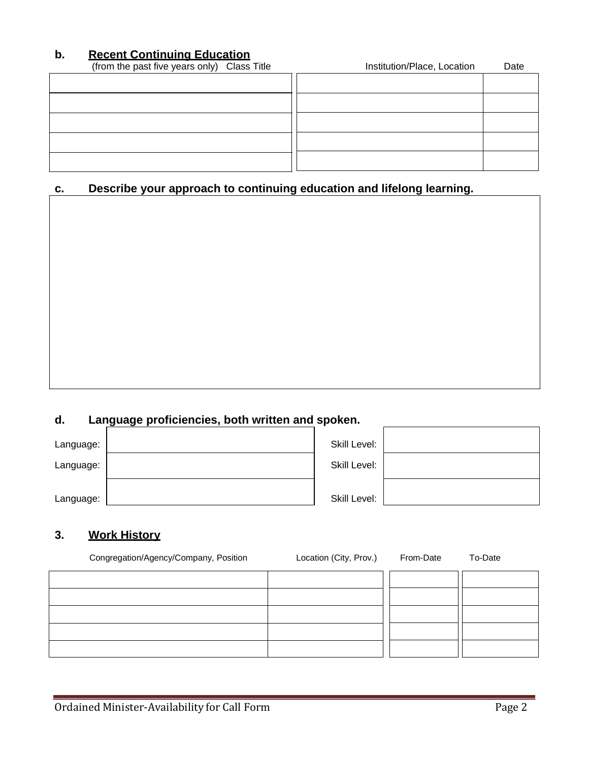## **b. Recent Continuing Education**

| (from the past five years only) Class Title | Institution/Place, Location | Date |
|---------------------------------------------|-----------------------------|------|
|                                             |                             |      |
|                                             |                             |      |
|                                             |                             |      |
|                                             |                             |      |
|                                             |                             |      |

# **c. Describe your approach to continuing education and lifelong learning.**

# **d. Language proficiencies, both written and spoken.**

| Language: | Skill Level: |  |
|-----------|--------------|--|
| Language: | Skill Level: |  |
| Language: | Skill Level: |  |

#### **3. Work History**

| Congregation/Agency/Company, Position | Location (City, Prov.) | From-Date | To-Date |
|---------------------------------------|------------------------|-----------|---------|
|                                       |                        |           |         |
|                                       |                        |           |         |
|                                       |                        |           |         |
|                                       |                        |           |         |
|                                       |                        |           |         |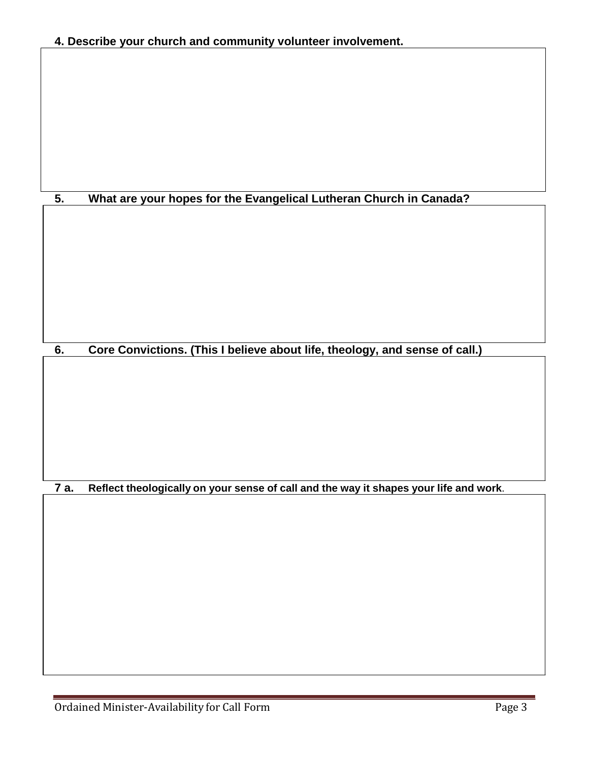|  |  | 4. Describe your church and community volunteer involvement. |
|--|--|--------------------------------------------------------------|
|--|--|--------------------------------------------------------------|

# **5. What are your hopes for the Evangelical Lutheran Church in Canada?**

**6. Core Convictions. (This I believe about life, theology, and sense of call.)**

**7 a. Reflect theologically on your sense of call and the way it shapes your life and work**.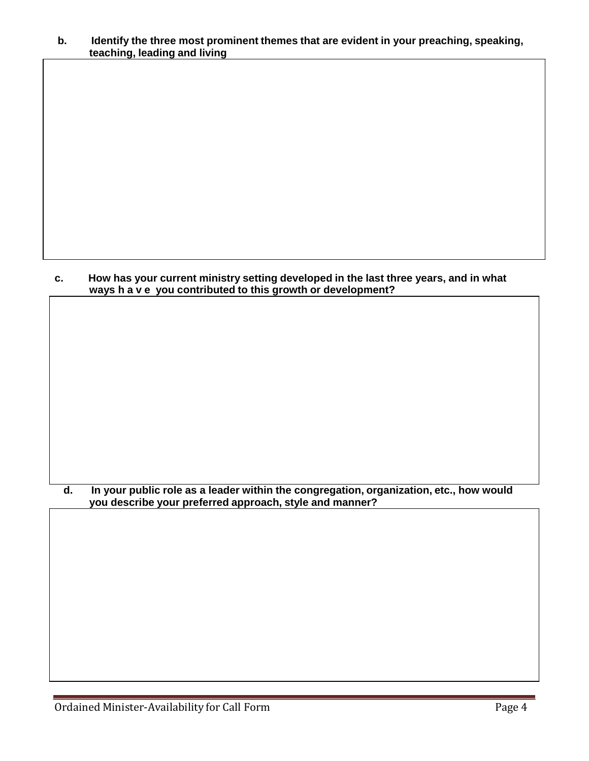#### **b. Identify the three most prominent themes that are evident in your preaching, speaking, teaching, leading and living**

#### **c. How has your current ministry setting developed in the last three years, and in what ways have you contributed to this growth or development?**

#### **d. In your public role as a leader within the congregation, organization, etc., how would you describe your preferred approach, style and manner?**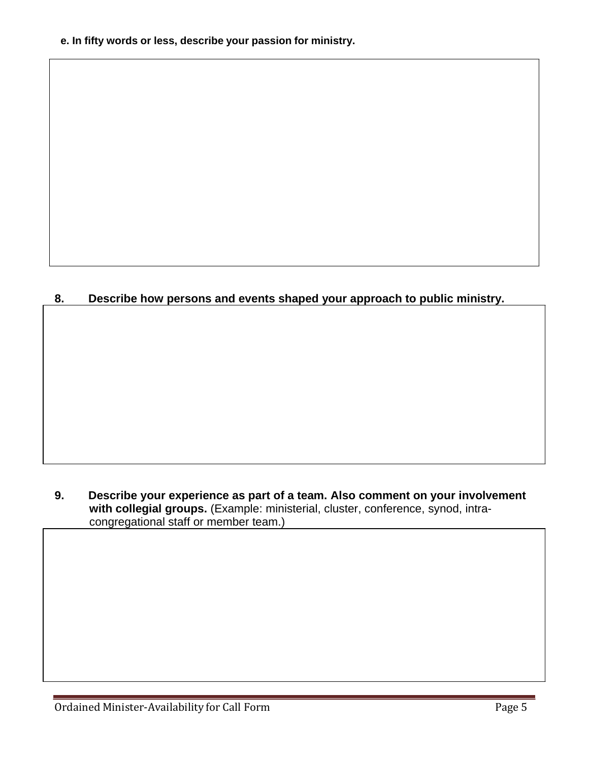**e. In fifty words or less, describe your passion for ministry.**

## **8. Describe how persons and events shaped your approach to public ministry.**

#### **9. Describe your experience as part of a team. Also comment on your involvement with collegial groups.** (Example: ministerial, cluster, conference, synod, intracongregational staff or member team.)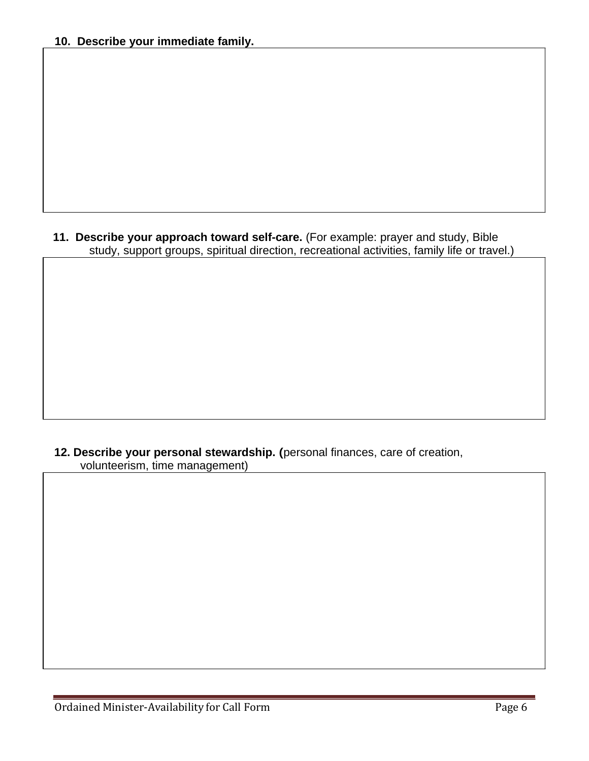#### **11. Describe your approach toward self-care.** (For example: prayer and study, Bible study, support groups, spiritual direction, recreational activities, family life or travel.)

#### **12. Describe your personal stewardship.** (personal finances, care of creation, volunteerism, time management)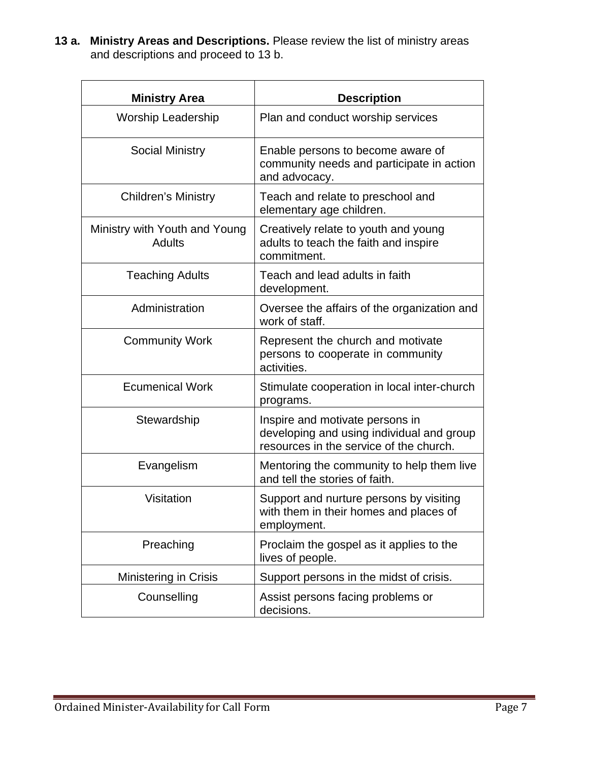**13 a. Ministry Areas and Descriptions.** Please review the list of ministry areas and descriptions and proceed to 13 b.

| <b>Ministry Area</b>                    | <b>Description</b>                                                                                                      |
|-----------------------------------------|-------------------------------------------------------------------------------------------------------------------------|
| <b>Worship Leadership</b>               | Plan and conduct worship services                                                                                       |
| <b>Social Ministry</b>                  | Enable persons to become aware of<br>community needs and participate in action<br>and advocacy.                         |
| <b>Children's Ministry</b>              | Teach and relate to preschool and<br>elementary age children.                                                           |
| Ministry with Youth and Young<br>Adults | Creatively relate to youth and young<br>adults to teach the faith and inspire<br>commitment.                            |
| <b>Teaching Adults</b>                  | Teach and lead adults in faith<br>development.                                                                          |
| Administration                          | Oversee the affairs of the organization and<br>work of staff.                                                           |
| <b>Community Work</b>                   | Represent the church and motivate<br>persons to cooperate in community<br>activities.                                   |
| <b>Ecumenical Work</b>                  | Stimulate cooperation in local inter-church<br>programs.                                                                |
| Stewardship                             | Inspire and motivate persons in<br>developing and using individual and group<br>resources in the service of the church. |
| Evangelism                              | Mentoring the community to help them live<br>and tell the stories of faith.                                             |
| Visitation                              | Support and nurture persons by visiting<br>with them in their homes and places of<br>employment.                        |
| Preaching                               | Proclaim the gospel as it applies to the<br>lives of people.                                                            |
| <b>Ministering in Crisis</b>            | Support persons in the midst of crisis.                                                                                 |
| Counselling                             | Assist persons facing problems or<br>decisions.                                                                         |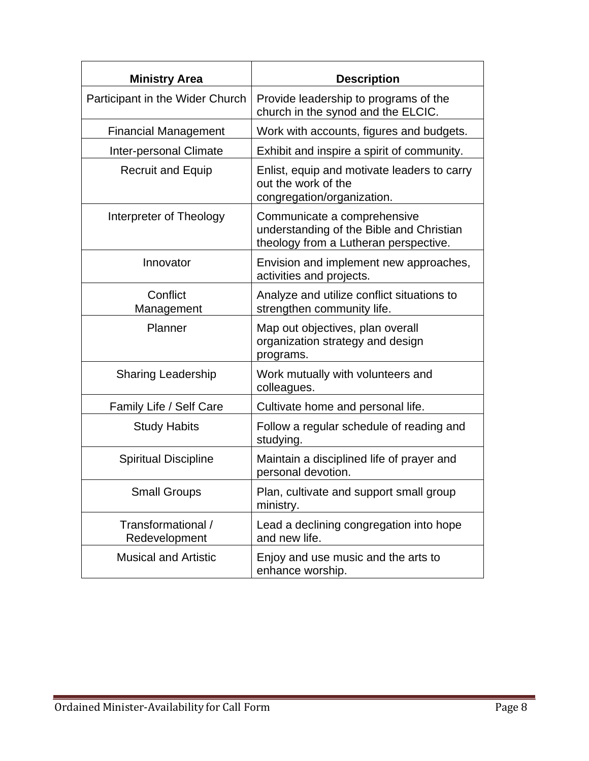| <b>Ministry Area</b>                | <b>Description</b>                                                                                               |
|-------------------------------------|------------------------------------------------------------------------------------------------------------------|
| Participant in the Wider Church     | Provide leadership to programs of the<br>church in the synod and the ELCIC.                                      |
| <b>Financial Management</b>         | Work with accounts, figures and budgets.                                                                         |
| Inter-personal Climate              | Exhibit and inspire a spirit of community.                                                                       |
| <b>Recruit and Equip</b>            | Enlist, equip and motivate leaders to carry<br>out the work of the<br>congregation/organization.                 |
| Interpreter of Theology             | Communicate a comprehensive<br>understanding of the Bible and Christian<br>theology from a Lutheran perspective. |
| Innovator                           | Envision and implement new approaches,<br>activities and projects.                                               |
| Conflict<br>Management              | Analyze and utilize conflict situations to<br>strengthen community life.                                         |
| Planner                             | Map out objectives, plan overall<br>organization strategy and design<br>programs.                                |
| <b>Sharing Leadership</b>           | Work mutually with volunteers and<br>colleagues.                                                                 |
| Family Life / Self Care             | Cultivate home and personal life.                                                                                |
| <b>Study Habits</b>                 | Follow a regular schedule of reading and<br>studying.                                                            |
| <b>Spiritual Discipline</b>         | Maintain a disciplined life of prayer and<br>personal devotion.                                                  |
| <b>Small Groups</b>                 | Plan, cultivate and support small group<br>ministry.                                                             |
| Transformational /<br>Redevelopment | Lead a declining congregation into hope<br>and new life.                                                         |
| <b>Musical and Artistic</b>         | Enjoy and use music and the arts to<br>enhance worship.                                                          |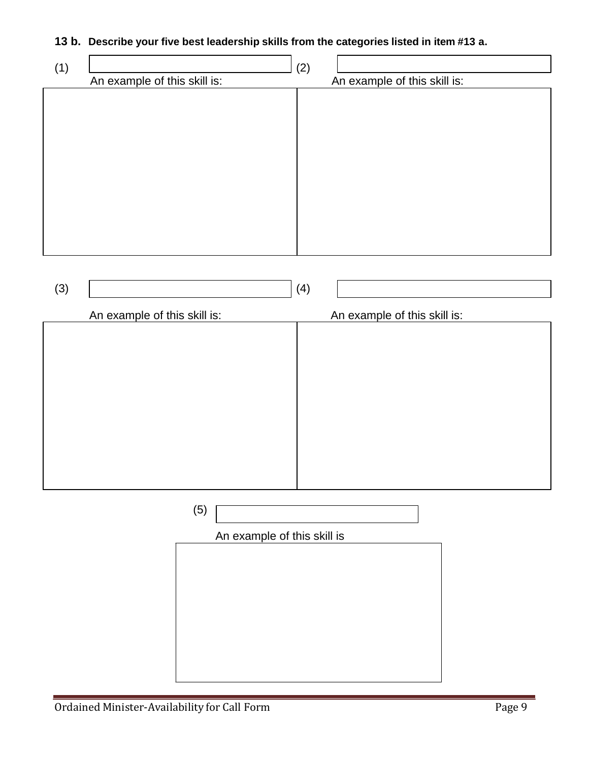#### **13 b. Describe your five best leadership skills from the categories listed in item #13 a.**

| (1) |                              | (2) |                              |
|-----|------------------------------|-----|------------------------------|
|     | An example of this skill is: |     | An example of this skill is: |
|     |                              |     |                              |
|     |                              |     |                              |
|     |                              |     |                              |
|     |                              |     |                              |
|     |                              |     |                              |
|     |                              |     |                              |
|     |                              |     |                              |
|     |                              |     |                              |
|     |                              |     |                              |
|     |                              |     |                              |
|     |                              |     |                              |
|     |                              |     |                              |
|     |                              |     |                              |

| (3) |                              | (4) |                              |
|-----|------------------------------|-----|------------------------------|
|     | An example of this skill is: |     | An example of this skill is: |
|     |                              |     |                              |
|     |                              |     |                              |
|     |                              |     |                              |
|     |                              |     |                              |
|     |                              |     |                              |
|     |                              |     |                              |
|     |                              |     |                              |
|     |                              |     |                              |

(5)

An example of this skill is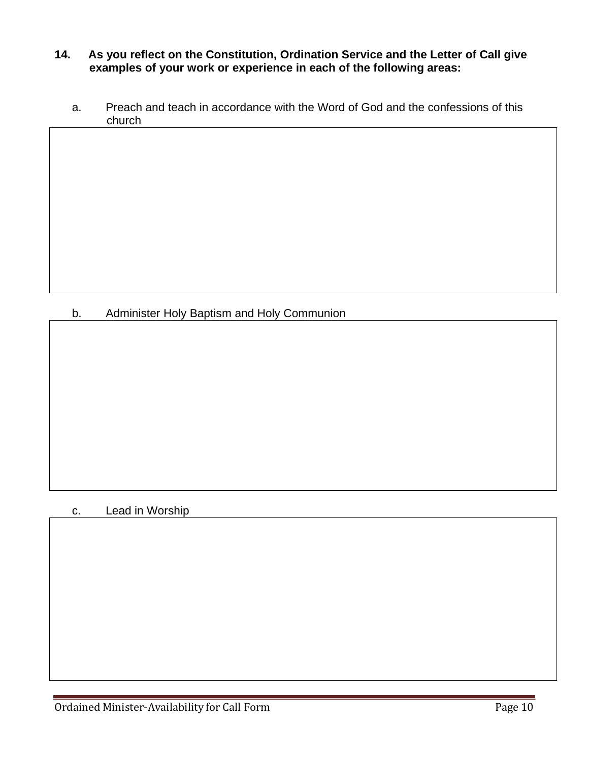#### **14. As you reflect on the Constitution, Ordination Service and the Letter of Call give examples of your work or experience in each of the following areas:**

a. Preach and teach in accordance with the Word of God and the confessions of this church

# b. Administer Holy Baptism and Holy Communion

#### c. Lead in Worship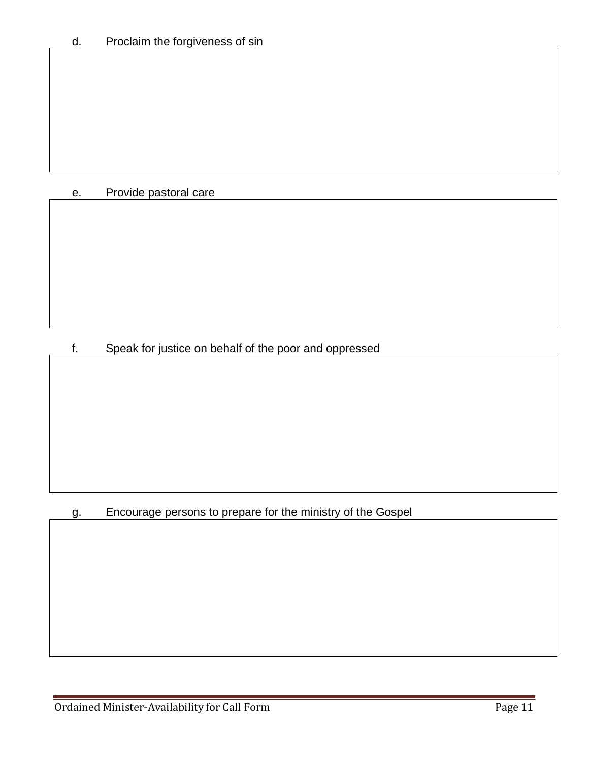# e. Provide pastoral care

f. Speak for justice on behalf of the poor and oppressed

# g. Encourage persons to prepare for the ministry of the Gospel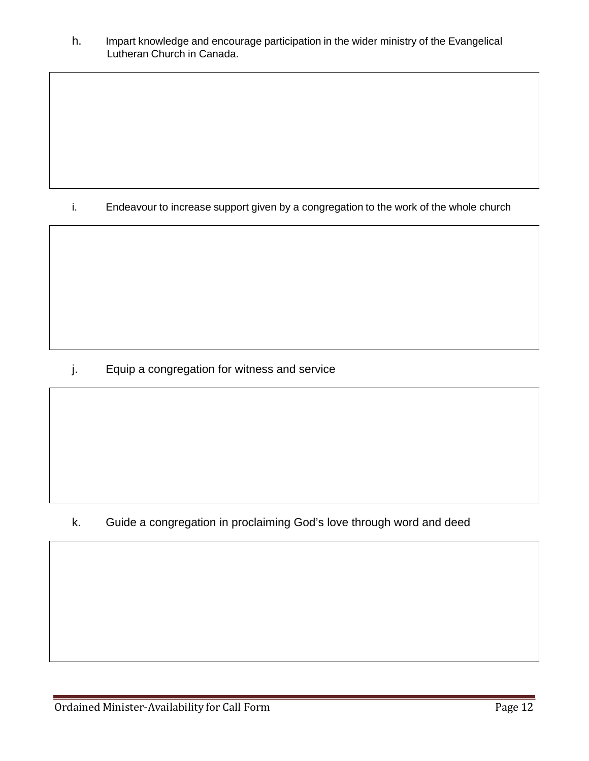h. Impart knowledge and encourage participation in the wider ministry of the Evangelical Lutheran Church in Canada.

i. Endeavour to increase support given by a congregation to the work of the whole church

j. Equip a congregation for witness and service

k. Guide a congregation in proclaiming God's love through word and deed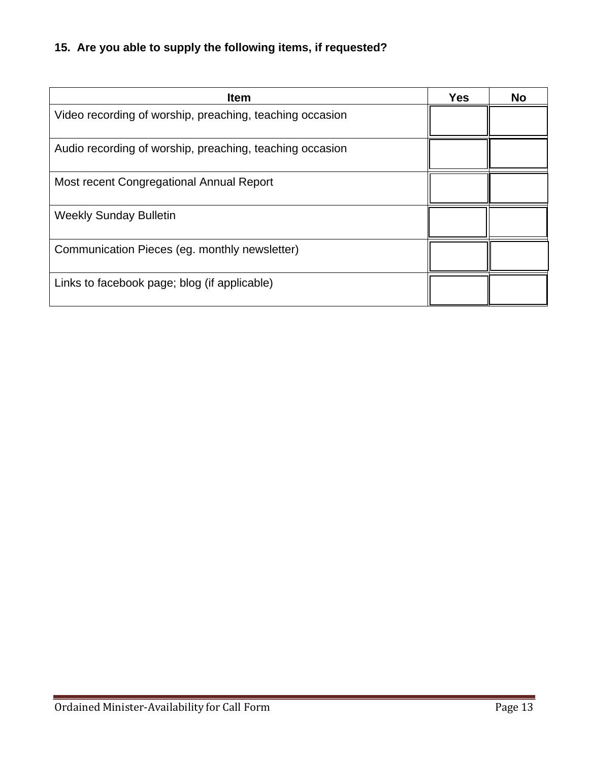# **15. Are you able to supply the following items, if requested?**

| <b>Item</b>                                              | <b>Yes</b> | <b>No</b> |
|----------------------------------------------------------|------------|-----------|
| Video recording of worship, preaching, teaching occasion |            |           |
| Audio recording of worship, preaching, teaching occasion |            |           |
| Most recent Congregational Annual Report                 |            |           |
| <b>Weekly Sunday Bulletin</b>                            |            |           |
| Communication Pieces (eg. monthly newsletter)            |            |           |
| Links to facebook page; blog (if applicable)             |            |           |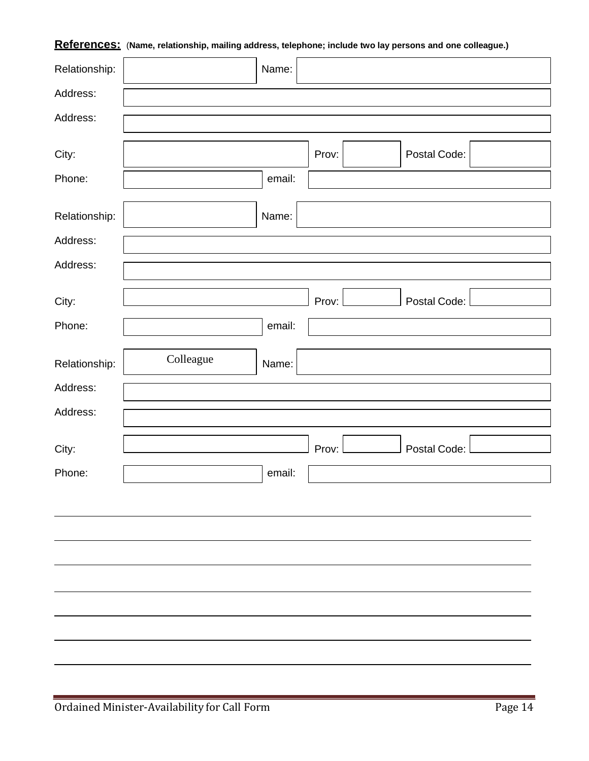| Relationship: | $\overline{\phantom{a}}$<br>. . | Name:  | . .   |              | $\tilde{\phantom{a}}$<br>$\cdot$ |
|---------------|---------------------------------|--------|-------|--------------|----------------------------------|
| Address:      |                                 |        |       |              |                                  |
| Address:      |                                 |        |       |              |                                  |
|               |                                 |        |       |              |                                  |
| City:         |                                 |        | Prov: | Postal Code: |                                  |
| Phone:        |                                 | email: |       |              |                                  |
| Relationship: |                                 | Name:  |       |              |                                  |
| Address:      |                                 |        |       |              |                                  |
| Address:      |                                 |        |       |              |                                  |
|               |                                 |        |       |              |                                  |
| City:         |                                 |        | Prov: | Postal Code: |                                  |
| Phone:        |                                 | email: |       |              |                                  |
| Relationship: | Colleague                       | Name:  |       |              |                                  |
| Address:      |                                 |        |       |              |                                  |
| Address:      |                                 |        |       |              |                                  |
|               |                                 |        |       |              |                                  |
| City:         |                                 |        | Prov: | Postal Code: |                                  |
| Phone:        |                                 | email: |       |              |                                  |
|               |                                 |        |       |              |                                  |
|               |                                 |        |       |              |                                  |
|               |                                 |        |       |              |                                  |
|               |                                 |        |       |              |                                  |
|               |                                 |        |       |              |                                  |
|               |                                 |        |       |              |                                  |
|               |                                 |        |       |              |                                  |
|               |                                 |        |       |              |                                  |
|               |                                 |        |       |              |                                  |

#### **References:** (**Name, relationship, mailing address, telephone; include two lay persons and one colleague.)**